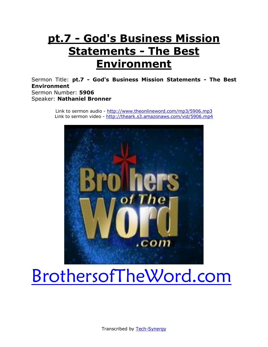# **pt.7 - God's Business Mission Statements - The Best Environment**

Sermon Title: **pt.7 - God's Business Mission Statements - The Best Environment** Sermon Number: **5906** Speaker: **Nathaniel Bronner**

> Link to sermon audio - <http://www.theonlineword.com/mp3/5906.mp3> Link to sermon video - <http://theark.s3.amazonaws.com/vid/5906.mp4>



# [BrothersofTheWord.com](http://www.brothersoftheword.com/)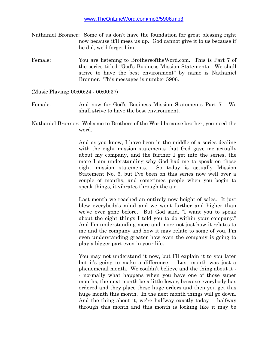- Nathaniel Bronner: Some of us don't have the foundation for great blessing right now because it'll mess us up. God cannot give it to us because if he did, we'd forget him.
- Female: You are listening to BrothersoftheWord.com. This is Part 7 of the series titled "God's Business Mission Statements - We shall strive to have the best environment" by name is Nathaniel Bronner. This messages is number 5906.

(Music Playing: 00:00:24 - 00:00:37)

- Female: And now for God's Business Mission Statements Part 7 We shall strive to have the best environment.
- Nathaniel Bronner: Welcome to Brothers of the Word because brother, you need the word.

And as you know, I have been in the middle of a series dealing with the eight mission statements that God gave me actually about my company, and the further I get into the series, the more I am understanding why God had me to speak on those eight mission statements. So today is actually Mission Statement No. 6, but I've been on this series now well over a couple of months, and sometimes people when you begin to speak things, it vibrates through the air.

Last month we reached an entirely new height of sales. It just blew everybody's mind and we went further and higher than we've ever gone before. But God said, "I want you to speak about the eight things I told you to do within your company." And I'm understanding more and more not just how it relates to me and the company and how it may relate to some of you, I'm even understanding greater how even the company is going to play a bigger part even in your life.

You may not understand it now, but I'll explain it to you later but it's going to make a difference. Last month was just a phenomenal month. We couldn't believe and the thing about it - - normally what happens when you have one of those super months, the next month be a little lower, because everybody has ordered and they place these huge orders and then you get this huge month this month. In the next month things will go down. And the thing about it, we're halfway exactly today -- halfway through this month and this month is looking like it may be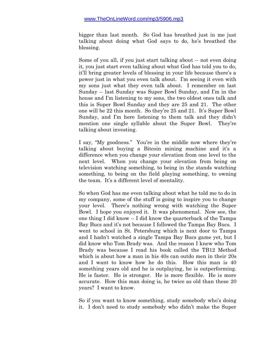bigger than last month. So God has breathed just in me just talking about doing what God says to do, he's breathed the blessing.

Some of you all, if you just start talking about -- not even doing it, you just start even talking about what God has told you to do, it'll bring greater levels of blessing in your life because there's a power just in what you even talk about. I'm seeing it even with my sons just what they even talk about. I remember on last Sunday -- last Sunday was Super Bowl Sunday, and I'm in the house and I'm listening to my sons, the two oldest ones talk and this is Super Bowl Sunday and they are 25 and 21. The other one will be 22 this month. So they're 25 and 21. It's Super Bowl Sunday, and I'm here listening to them talk and they didn't mention one single syllable about the Super Bowl. They're talking about investing.

I say, "My goodness." You're in the middle now where they're talking about buying a Bitcoin mining machine and it's a difference when you change your elevation from one level to the next level. When you change your elevation from being on television watching something, to being in the stands watching something, to being on the field playing something, to owning the team. It's a different level of mentality.

So when God has me even talking about what he told me to do in my company, some of the stuff is going to inspire you to change your level. There's nothing wrong with watching the Super Bowl. I hope you enjoyed it. It was phenomenal. Now see, the one thing I did know -- I did know the quarterback of the Tampa Bay Bucs and it's not because I followed the Tampa Bay Bucs. I went to school in St. Petersburg which is next door to Tampa and I hadn't watched a single Tampa Bay Bucs game yet, but I did know who Tom Brady was. And the reason I knew who Tom Brady was because I read his book called the TB12 Method which is about how a man in his 40s can outdo men in their 20s and I want to know how he do this. How this man is 40 something years old and he is outplaying, he is outperforming. He is faster. He is stronger. He is more flexible. He is more accurate. How this man doing is, he twice as old than these 20 years? I want to know.

So if you want to know something, study somebody who's doing it. I don't need to study somebody who didn't make the Super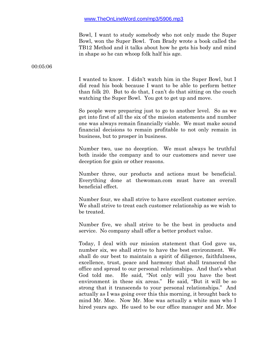Bowl, I want to study somebody who not only made the Super Bowl, won the Super Bowl. Tom Brady wrote a book called the TB12 Method and it talks about how he gets his body and mind in shape so he can whoop folk half his age.

00:05:06

I wanted to know. I didn't watch him in the Super Bowl, but I did read his book because I want to be able to perform better than folk 20. But to do that, I can't do that sitting on the couch watching the Super Bowl. You got to get up and move.

So people were preparing just to go to another level. So as we get into first of all the six of the mission statements and number one was always remain financially viable. We must make sound financial decisions to remain profitable to not only remain in business, but to prosper in business.

Number two, use no deception. We must always be truthful both inside the company and to our customers and never use deception for gain or other reasons.

Number three, our products and actions must be beneficial. Everything done at thewoman.com must have an overall beneficial effect.

Number four, we shall strive to have excellent customer service. We shall strive to treat each customer relationship as we wish to be treated.

Number five, we shall strive to be the best in products and service. No company shall offer a better product value.

Today, I deal with our mission statement that God gave us, number six, we shall strive to have the best environment. We shall do our best to maintain a spirit of diligence, faithfulness, excellence, trust, peace and harmony that shall transcend the office and spread to our personal relationships. And that's what God told me. He said, "Not only will you have the best environment in these six areas." He said, "But it will be so strong that it transcends to your personal relationships." And actually as I was going over this this morning, it brought back to mind Mr. Moe. Now Mr. Moe was actually a white man who I hired years ago. He used to be our office manager and Mr. Moe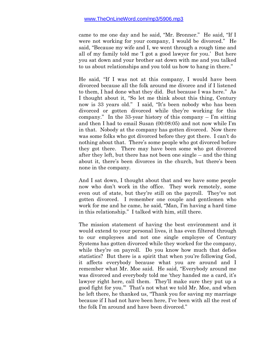came to me one day and he said, "Mr. Bronner." He said, "If I were not working for your company, I would be divorced." He said, "Because my wife and I, we went through a rough time and all of my family told me 'I got a good lawyer for you.' But here you sat down and your brother sat down with me and you talked to us about relationships and you told us how to hang in there."

He said, "If I was not at this company, I would have been divorced because all the folk around me divorce and if I listened to them, I had done what they did. But because I was here." As I thought about it, "So let me think about this thing, Century now is 33 years old." I said, "It's been nobody who has been divorced or gotten divorced while they're working for this company." In the 33-year history of this company -- I'm sitting and then I had to email Susan (00:08:05) and not now while I'm in that. Nobody at the company has gotten divorced. Now there was some folks who got divorced before they got there. I can't do nothing about that. There's some people who got divorced before they got there. There may have been some who got divorced after they left, but there has not been one single -- and the thing about it, there's been divorces in the church, but there's been none in the company.

And I sat down, I thought about that and we have some people now who don't work in the office. They work remotely, some even out of state, but they're still on the payroll. They've not gotten divorced. I remember one couple and gentlemen who work for me and he came, he said, "Man, I'm having a hard time in this relationship." I talked with him, still there.

The mission statement of having the best environment and it would extend to your personal lives, it has even filtered through to our employees and not one single employee of Century Systems has gotten divorced while they worked for the company, while they're on payroll. Do you know how much that defies statistics? But there is a spirit that when you're following God, it affects everybody because what you are around and I remember what Mr. Moe said. He said, "Everybody around me was divorced and everybody told me 'they handed me a card, it's lawyer right here, call them. They'll make sure they put up a good fight for you.'" That's not what we told Mr. Moe, and when he left there, he thanked us, "Thank you for saving my marriage because if I had not have been here, I've been with all the rest of the folk I'm around and have been divorced."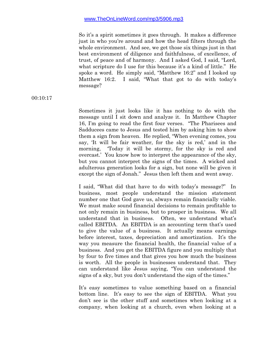So it's a spirit sometimes it goes through. It makes a difference just in who you're around and how the head filters through the whole environment. And see, we get those six things just in that best environment of diligence and faithfulness, of excellence, of trust, of peace and of harmony. And I asked God, I said, "Lord, what scripture do I use for this because it's a kind of little." He spoke a word. He simply said, "Matthew 16:2" and I looked up Matthew 16:2. I said, "What that got to do with today's message?

#### 00:10:17

Sometimes it just looks like it has nothing to do with the message until I sit down and analyze it. In Matthew Chapter 16, I'm going to read the first four verses. "The Pharisees and Sadducees came to Jesus and tested him by asking him to show them a sign from heaven. He replied, "When evening comes, you say, 'It will be fair weather, for the sky is red,' and in the morning, Today it will be stormy, for the sky is red and overcast.' You know how to interpret the appearance of the sky, but you cannot interpret the signs of the times. A wicked and adulterous generation looks for a sign, but none will be given it except the sign of Jonah." Jesus then left them and went away.

I said, "What did that have to do with today's message?" In business, most people understand the mission statement number one that God gave us, always remain financially viable. We must make sound financial decisions to remain profitable to not only remain in business, but to prosper in business. We all understand that in business. Often, we understand what's called EBITDA. An EBITDA is an accounting term that's used to give the value of a business. It actually means earnings before interest, taxes, depreciation and amortization. It's the way you measure the financial health, the financial value of a business. And you get the EBITDA figure and you multiply that by four to five times and that gives you how much the business is worth. All the people in businesses understand that. They can understand like Jesus saying, "You can understand the signs of a sky, but you don't understand the sign of the times."

It's easy sometimes to value something based on a financial bottom line. It's easy to see the sign of EBITDA. What you don't see is the other stuff and sometimes when looking at a company, when looking at a church, even when looking at a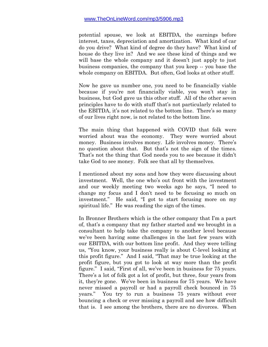potential spouse, we look at EBITDA, the earnings before interest, taxes, depreciation and amortization. What kind of car do you drive? What kind of degree do they have? What kind of house do they live in? And we see these kind of things and we will base the whole company and it doesn't just apply to just business companies, the company that you keep -- you base the whole company on EBITDA. But often, God looks at other stuff.

Now he gave us number one, you need to be financially viable because if you're not financially viable, you won't stay in business, but God gave us this other stuff. All of the other seven principles have to do with stuff that's not particularly related to the EBITDA, it's not related to the bottom line. There's so many of our lives right now, is not related to the bottom line.

The main thing that happened with COVID that folk were worried about was the economy. They were worried about money. Business involves money. Life involves money. There's no question about that. But that's not the sign of the times. That's not the thing that God needs you to see because it didn't take God to see money. Folk see that all by themselves.

I mentioned about my sons and how they were discussing about investment. Well, the one who's out front with the investment and our weekly meeting two weeks ago he says, "I need to change my focus and I don't need to be focusing so much on investment." He said, "I got to start focusing more on my spiritual life." He was reading the sign of the times.

In Bronner Brothers which is the other company that I'm a part of, that's a company that my father started and we brought in a consultant to help take the company to another level because we've been having some challenges in the last few years with our EBITDA, with our bottom line profit. And they were telling us, "You know, your business really is about C-level looking at this profit figure." And I said, "That may be true looking at the profit figure, but you got to look at way more than the profit figure." I said, "First of all, we've been in business for 75 years. There's a lot of folk got a lot of profit, but three, four years from it, they're gone. We've been in business for 75 years. We have never missed a payroll or had a payroll check bounced in 75 years." You try to run a business 75 years without ever bouncing a check or ever missing a payroll and see how difficult that is. I see among the brothers, there are no divorces. When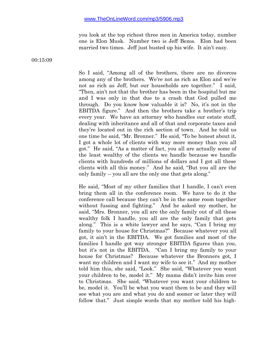you look at the top richest three men in America today, number one is Elon Musk. Number two is Jeff Bezos. Elon had been married two times. Jeff just busted up his wife. It ain't easy.

00:15:09

So I said, "Among all of the brothers, there are no divorces among any of the brothers. We're not as rich as Elon and we're not as rich as Jeff, but our households are together." I said, "Then, ain't not that the brother has been in the hospital but me and I was only in that due to a crash that God pulled me through. Do you know how valuable it is? No, it's not in the EBITDA figure." And then the brothers take a brother's trip every year. We have an attorney who handles our estate stuff, dealing with inheritance and all of that and corporate taxes and they're located out in the rich section of town. And he told us one time he said, "Mr. Bronner." He said, "To be honest about it, I got a whole lot of clients with way more money than you all got." He said, "As a matter of fact, you all are actually some of the least wealthy of the clients we handle because we handle clients with hundreds of millions of dollars and I got all these clients with all this money." And he said, "But you all are the only family -- you all are the only one that gets along."

He said, "Most of my other families that I handle, I can't even bring them all in the conference room. We have to do it the conference call because they can't be in the same room together without fussing and fighting." And he asked my mother, he said, "Mrs. Bronner, you all are the only family out of all these wealthy folk I handle, you all are the only family that gets along." This is a white lawyer and he says, "Can I bring my family to your house for Christmas?" Because whatever you all got, it ain't in the EBITDA. We got families and most of the families I handle got way stronger EBITDA figures than you, but it's not in the EBITDA. "Can I bring my family to your house for Christmas? Because whatever the Bronners got, I want my children and I want my wife to see it." And my mother told him this, she said, "Look." She said, "Whatever you want your children to be, model it." My mama didn't invite him over to Christmas. She said, "Whatever you want your children to be, model it. You'll be what you want them to be and they will see what you are and what you do and sooner or later they will follow that." Just simple words that my mother told his high-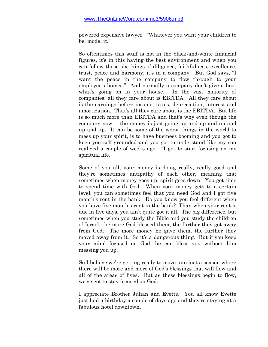powered expensive lawyer. "Whatever you want your children to be, model it."

So oftentimes this stuff is not in the black-and-white financial figures, it's in this having the best environment and when you can follow those six things of diligence, faithfulness, excellence, trust, peace and harmony, it's in a company. But God says, "I want the peace in the company to flow through to your employee's homes." And normally a company don't give a hoot what's going on in your house. In the vast majority of companies, all they care about is EBITDA. All they care about is the earnings before income, taxes, depreciation, interest and amortization. That's all they care about is the EBITDA. But life is so much more than EBITDA and that's why even though the company now -- the money is just going up and up and up and up and up. It can be some of the worst things in the world to mess up your spirit, is to have business booming and you got to keep yourself grounded and you got to understand like my son realized a couple of weeks ago. "I got to start focusing on my spiritual life."

Some of you all, your money is doing really, really good and they're sometimes antipathy of each other, meaning that sometimes when money goes up, spirit goes down. You got time to spend time with God. When your money gets to a certain level, you can sometimes feel that you need God and I got five month's rent in the bank. Do you know you feel different when you have five month's rent in the bank? Than when your rent is due in five days, you ain't quite got it all. The big difference, but sometimes when you study the Bible and you study the children of Israel, the more God blessed them, the further they got away from God. The more money he gave them, the further they moved away from it. So it's a dangerous thing. But if you keep your mind focused on God, he can bless you without him messing you up.

So I believe we're getting ready to move into just a season where there will be more and more of God's blessings that will flow and all of the areas of lives. But as these blessings begin to flow, we've got to stay focused on God.

I appreciate Brother Julian and Evette. You all know Evette just had a birthday a couple of days ago and they're staying at a fabulous hotel downtown.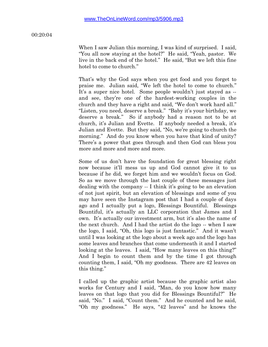#### 00:20:04

When I saw Julian this morning, I was kind of surprised. I said, "You all now staying at the hotel?" He said, "Yeah, pastor. We live in the back end of the hotel." He said, "But we left this fine hotel to come to church."

That's why the God says when you get food and you forget to praise me. Julian said, "We left the hotel to come to church." It's a super nice hotel. Some people wouldn't just stayed as - and see, they're one of the hardest-working couples in the church and they have a right and said, "We don't work hard all." "Listen, you need, deserve a break." "Baby it's your birthday, we deserve a break." So if anybody had a reason not to be at church, it's Julian and Evette. If anybody needed a break, it's Julian and Evette. But they said, "No, we're going to church the morning." And do you know when you have that kind of unity? There's a power that goes through and then God can bless you more and more and more and more.

Some of us don't have the foundation for great blessing right now because it'll mess us up and God cannot give it to us because if he did, we forget him and we wouldn't focus on God. So as we move through the last couple of these messages just dealing with the company -- I think it's going to be an elevation of not just spirit, but an elevation of blessings and some of you may have seen the Instagram post that I had a couple of days ago and I actually put a logo, Blessings Bountiful. Blessings Bountiful, it's actually an LLC corporation that James and I own. It's actually our investment arm, but it's also the name of the next church. And I had the artist do the logo -- when I saw the logo, I said, "Oh, this logo is just fantastic." And it wasn't until I was looking at the logo about a week ago and the logo has some leaves and branches that come underneath it and I started looking at the leaves. I said, "How many leaves on this thing?" And I begin to count them and by the time I got through counting them, I said, "Oh my goodness. There are 42 leaves on this thing."

I called up the graphic artist because the graphic artist also works for Century and I said, "Man, do you know how many leaves on that logo that you did for Blessings Bountiful?" He said, "No." I said, "Count them." And he counted and he said, "Oh my goodness." He says, "42 leaves" and he knows the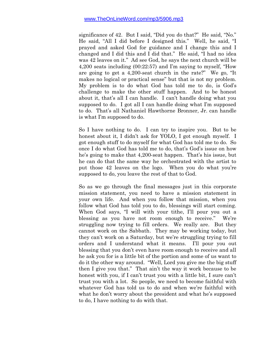significance of 42. But I said, "Did you do that?" He said, "No." He said, "All I did before I designed this." Well, he said, "I prayed and asked God for guidance and I change this and I changed and I did this and I did that." He said, "I had no idea was 42 leaves on it." Ad see God, he says the next church will be 4,200 seats including (00:22:57) and I'm saying to myself, "How are going to get a 4,200-seat church in the rate?" We go, "It makes no logical or practical sense" but that is not my problem. My problem is to do what God has told me to do, is God's challenge to make the other stuff happen. And to be honest about it, that's all I can handle. I can't handle doing what you supposed to do. I got all I can handle doing what I'm supposed to do. That's all Nathaniel Hawthorne Bronner, Jr. can handle is what I'm supposed to do.

So I have nothing to do. I can try to inspire you. But to be honest about it, I didn't ask for YOLO, I got enough myself. I got enough stuff to do myself for what God has told me to do. So once I do what God has told me to do, that's God's issue on how he's going to make that 4,200-seat happen. That's his issue, but he can do that the same way he orchestrated with the artist to put those 42 leaves on the logo. When you do what you're supposed to do, you leave the rest of that to God.

So as we go through the final messages just in this corporate mission statement, you need to have a mission statement in your own life. And when you follow that mission, when you follow what God has told you to do, blessings will start coming. When God says, "I will with your tithe, I'll pour you out a blessing as you have not room enough to receive." We're struggling now trying to fill orders. We really are. But they cannot work on the Sabbath. They may be working today, but they can't work on a Saturday, but we're struggling trying to fill orders and I understand what it means. I'll pour you out blessing that you don't even have room enough to receive and all he ask you for is a little bit of the portion and some of us want to do it the other way around. "Well, Lord you give me the big stuff then I give you that." That ain't the way it work because to be honest with you, if I can't trust you with a little bit, I sure can't trust you with a lot. So people, we need to become faithful with whatever God has told us to do and when we're faithful with what he don't worry about the president and what he's supposed to do, I have nothing to do with that.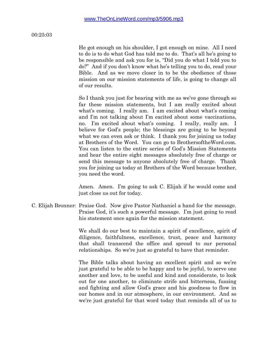#### 00:25:03

He got enough on his shoulder, I got enough on mine. All I need to do is to do what God has told me to do. That's all he's going to be responsible and ask you for is, "Did you do what I told you to do?" And if you don't know what he's telling you to do, read your Bible. And as we move closer in to be the obedience of those mission on our mission statements of life, is going to change all of our results.

So I thank you just for bearing with me as we've gone through so far these mission statements, but I am really excited about what's coming. I really am. I am excited about what's coming and I'm not talking about I'm excited about some vaccinations, no. I'm excited about what's coming. I really, really am. I believe for God's people; the blessings are going to be beyond what we can even ask or think. I thank you for joining us today at Brothers of the Word. You can go to BrothersoftheWord.com. You can listen to the entire series of God's Mission Statements and hear the entire eight messages absolutely free of charge or send this message to anyone absolutely free of charge. Thank you for joining us today at Brothers of the Word because brother, you need the word.

Amen. Amen. I'm going to ask C. Elijah if he would come and just close us out for today.

C. Elijah Bronner: Praise God. Now give Pastor Nathaniel a hand for the message. Praise God, it's such a powerful message. I'm just going to read his statement once again for the mission statement.

> We shall do our best to maintain a spirit of excellence, spirit of diligence, faithfulness, excellence, trust, peace and harmony that shall transcend the office and spread to our personal relationships. So we're just so grateful to have that reminder.

> The Bible talks about having an excellent spirit and so we're just grateful to be able to be happy and to be joyful, to serve one another and love, to be useful and kind and considerate, to look out for one another, to eliminate strife and bitterness, fussing and fighting and allow God's grace and his goodness to flow in our homes and in our atmosphere, in our environment. And so we're just grateful for that word today that reminds all of us to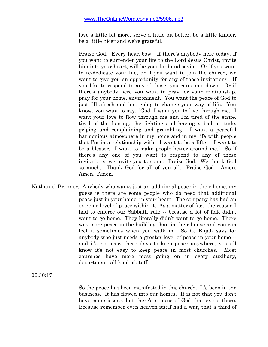love a little bit more, serve a little bit better, be a little kinder, be a little nicer and we're grateful.

Praise God. Every head bow. If there's anybody here today, if you want to surrender your life to the Lord Jesus Christ, invite him into your heart, will be your lord and savior. Or if you want to re-dedicate your life, or if you want to join the church, we want to give you an opportunity for any of those invitations. If you like to respond to any of those, you can come down. Or if there's anybody here you want to pray for your relationship, pray for your home, environment. You want the peace of God to just fill afresh and just going to change your way of life. You know, you want to say, "God, I want you to live through me. I want your love to flow through me and I'm tired of the strife, tired of the fussing, the fighting and having a bad attitude, griping and complaining and grumbling. I want a peaceful harmonious atmosphere in my home and in my life with people that I'm in a relationship with. I want to be a lifter. I want to be a blesser. I want to make people better around me." So if there's any one of you want to respond to any of those invitations, we invite you to come. Praise God. We thank God so much. Thank God for all of you all. Praise God. Amen. Amen. Amen.

Nathaniel Bronner: Anybody who wants just an additional peace in their home, my guess is there are some people who do need that additional peace just in your home, in your heart. The company has had an extreme level of peace within it. As a matter of fact, the reason I had to enforce our Sabbath rule -- because a lot of folk didn't want to go home. They literally didn't want to go home. There was more peace in the building than in their house and you can feel it sometimes when you walk in. So C. Elijah says for anybody who just needs a greater level of peace in your home - and it's not easy these days to keep peace anywhere, you all know it's not easy to keep peace in most churches. Most churches have more mess going on in every auxiliary, department, all kind of stuff.

00:30:17

So the peace has been manifested in this church. It's been in the business. It has flowed into our homes. It is not that you don't have some issues, but there's a piece of God that exists there. Because remember even heaven itself had a war, that a third of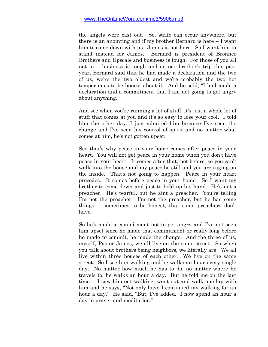the angels were cast out. So, strife can occur anywhere, but there is an anointing and if my brother Bernard is here -- I want him to come down with us. James is not here. So I want him to stand instead for James. Bernard is president of Bronner Brothers and Upscale and business is tough. For those of you all not in -- business is tough and on our brother's trip this past year, Bernard said that he had made a declaration and the two of us, we're the two oldest and we're probably the two hot temper ones to be honest about it. And he said, "I had made a declaration and a commitment that I am not going to get angry about anything."

And see when you're running a lot of stuff, it's just a whole lot of stuff that comes at you and it's so easy to lose your cool. I told him the other day, I just admired him because I've seen the change and I've seen his control of spirit and no matter what comes at him, he's not gotten upset.

See that's why peace in your home comes after peace in your heart. You will not get peace in your home when you don't have peace in your heart. It comes after that, not before, so you can't walk into the house and my peace be still and you are raging on the inside. That's not going to happen. Peace in your heart precedes. It comes before peace in your home. So I want my brother to come down and just to hold up his hand. He's not a preacher. He's tearful, but he aint a preacher. You're telling I'm not the preacher. I'm not the preacher, but he has some things -- sometimes to be honest, that some preachers don't have.

So he's made a commitment not to get angry and I've not seen him upset since he made that commitment or really long before he made to commit, he made the change. And the three of us, myself, Pastor James, we all live on the same street. So when you talk about brothers being neighbors, we literally are. We all live within three houses of each other. We live on the same street. So I see him walking and he walks an hour every single day. No matter how much he has to do, no matter where he travels to, he walks an hour a day. But he told me on the last time -- I saw him out walking, went out and walk one lap with him and he says, "Not only have I continued my walking for an hour a day." He said, "But, I've added. I now spend an hour a day in prayer and meditation."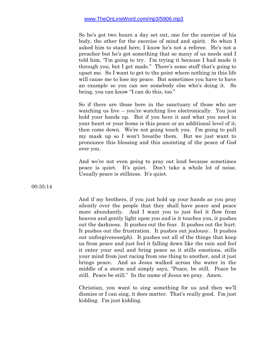So he's got two hours a day set out, one for the exercise of his body, the other for the exercise of mind and spirit. So when I asked him to stand here, I know he's not a referee. He's not a preacher but he's got something that so many of us needs and I told him, "I'm going to try. I'm trying it because I had made it through you, but I get made." There's some stuff that's going to upset me. So I want to get to the point where nothing in this life will cause me to lose my peace. But sometimes you have to have an example so you can see somebody else who's doing it. So being, you can know "I can do this, too."

So if there are those here in the sanctuary of those who are watching us live -- you're watching live electronically. You just hold your hands up. But if you here it and what you need in your heart or your home is this peace or an additional level of it, then come down. We're not going touch you. I'm going to pull my mask up so I won't breathe them. But we just want to pronounce this blessing and this anointing of the peace of God over you.

And we're not even going to pray out loud because sometimes peace is quiet. It's quiet. Don't take a whole lot of noise. Usually peace is stillness. It's quiet.

00:35:14

And if my brothers, if you just hold up your hands as you pray silently over the people that they shall have peace and peace more abundantly. And I want you to just feel it flow from heaven and gently light upon you and is it touches you, it pushes out the darkness. It pushes out the fear. It pushes out the hurt. It pushes out the frustration. It pushes out jealousy. It pushes out unforgiveness(ph). It pushes out all of the things that keep us from peace and just feel it falling down like the rain and feel it enter your soul and bring peace as it stills emotions, stills your mind from just racing from one thing to another, and it just brings peace. And as Jesus walked across the water in the middle of a storm and simply says, "Peace, be still. Peace be still. Peace be still." In the name of Jesus we pray. Amen.

Christian, you want to sing something for us and then we'll dismiss or I can sing, it does matter. That's really good. I'm just kidding. I'm just kidding.